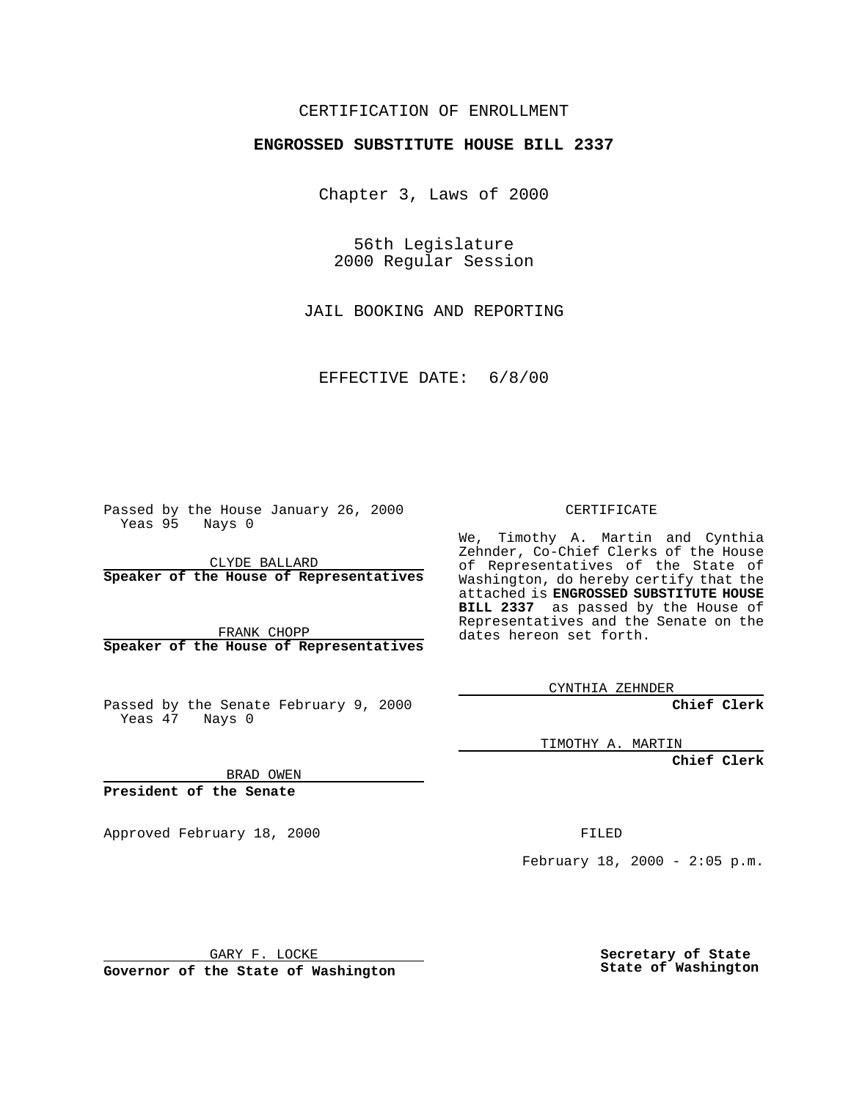## CERTIFICATION OF ENROLLMENT

## **ENGROSSED SUBSTITUTE HOUSE BILL 2337**

Chapter 3, Laws of 2000

56th Legislature 2000 Regular Session

JAIL BOOKING AND REPORTING

EFFECTIVE DATE: 6/8/00

Passed by the House January 26, 2000 Yeas 95 Nays 0

CLYDE BALLARD **Speaker of the House of Representatives**

FRANK CHOPP **Speaker of the House of Representatives**

Passed by the Senate February 9, 2000 Yeas 47 Nays 0

CERTIFICATE

We, Timothy A. Martin and Cynthia Zehnder, Co-Chief Clerks of the House of Representatives of the State of Washington, do hereby certify that the attached is **ENGROSSED SUBSTITUTE HOUSE BILL 2337** as passed by the House of Representatives and the Senate on the dates hereon set forth.

CYNTHIA ZEHNDER

**Chief Clerk**

TIMOTHY A. MARTIN

**Chief Clerk**

BRAD OWEN

**President of the Senate**

Approved February 18, 2000 FILED

February 18, 2000 - 2:05 p.m.

GARY F. LOCKE

**Governor of the State of Washington**

**Secretary of State State of Washington**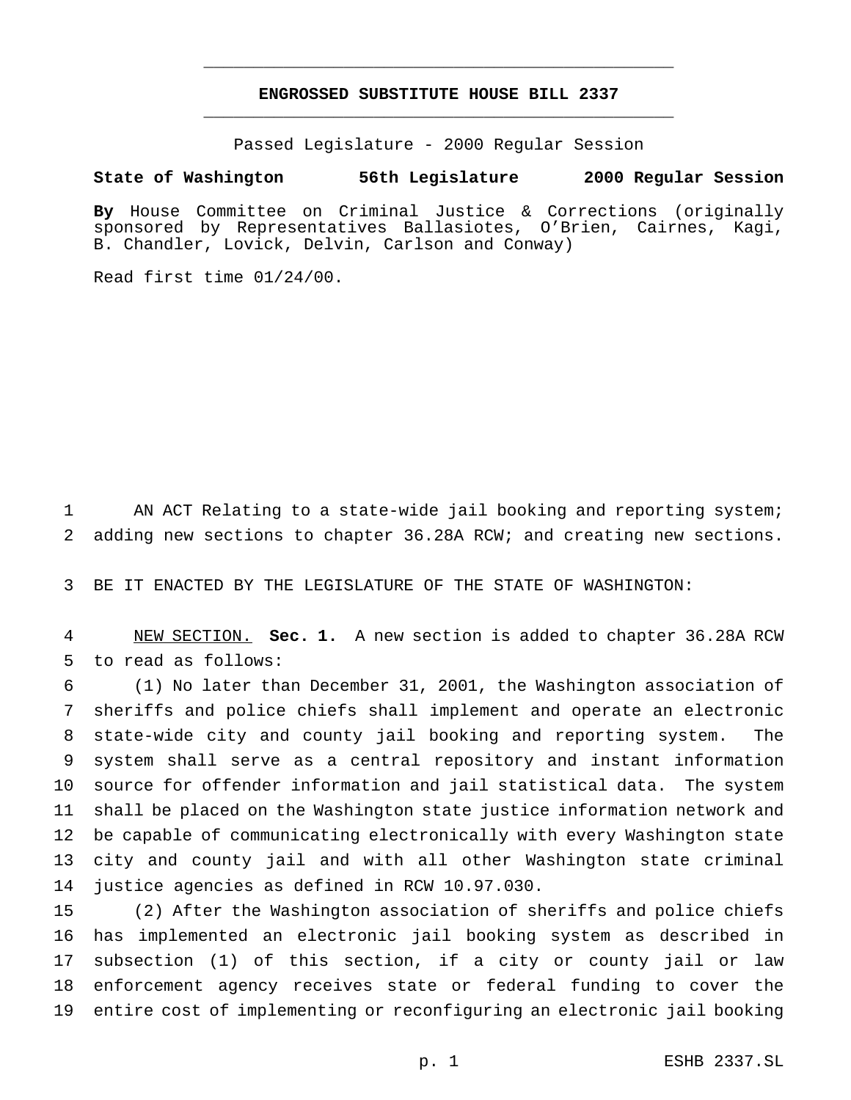## **ENGROSSED SUBSTITUTE HOUSE BILL 2337** \_\_\_\_\_\_\_\_\_\_\_\_\_\_\_\_\_\_\_\_\_\_\_\_\_\_\_\_\_\_\_\_\_\_\_\_\_\_\_\_\_\_\_\_\_\_\_

\_\_\_\_\_\_\_\_\_\_\_\_\_\_\_\_\_\_\_\_\_\_\_\_\_\_\_\_\_\_\_\_\_\_\_\_\_\_\_\_\_\_\_\_\_\_\_

Passed Legislature - 2000 Regular Session

## **State of Washington 56th Legislature 2000 Regular Session**

**By** House Committee on Criminal Justice & Corrections (originally sponsored by Representatives Ballasiotes, O'Brien, Cairnes, Kagi, B. Chandler, Lovick, Delvin, Carlson and Conway)

Read first time 01/24/00.

 AN ACT Relating to a state-wide jail booking and reporting system; adding new sections to chapter 36.28A RCW; and creating new sections.

BE IT ENACTED BY THE LEGISLATURE OF THE STATE OF WASHINGTON:

 NEW SECTION. **Sec. 1.** A new section is added to chapter 36.28A RCW to read as follows:

 (1) No later than December 31, 2001, the Washington association of sheriffs and police chiefs shall implement and operate an electronic state-wide city and county jail booking and reporting system. The system shall serve as a central repository and instant information source for offender information and jail statistical data. The system shall be placed on the Washington state justice information network and be capable of communicating electronically with every Washington state city and county jail and with all other Washington state criminal justice agencies as defined in RCW 10.97.030.

 (2) After the Washington association of sheriffs and police chiefs has implemented an electronic jail booking system as described in subsection (1) of this section, if a city or county jail or law enforcement agency receives state or federal funding to cover the entire cost of implementing or reconfiguring an electronic jail booking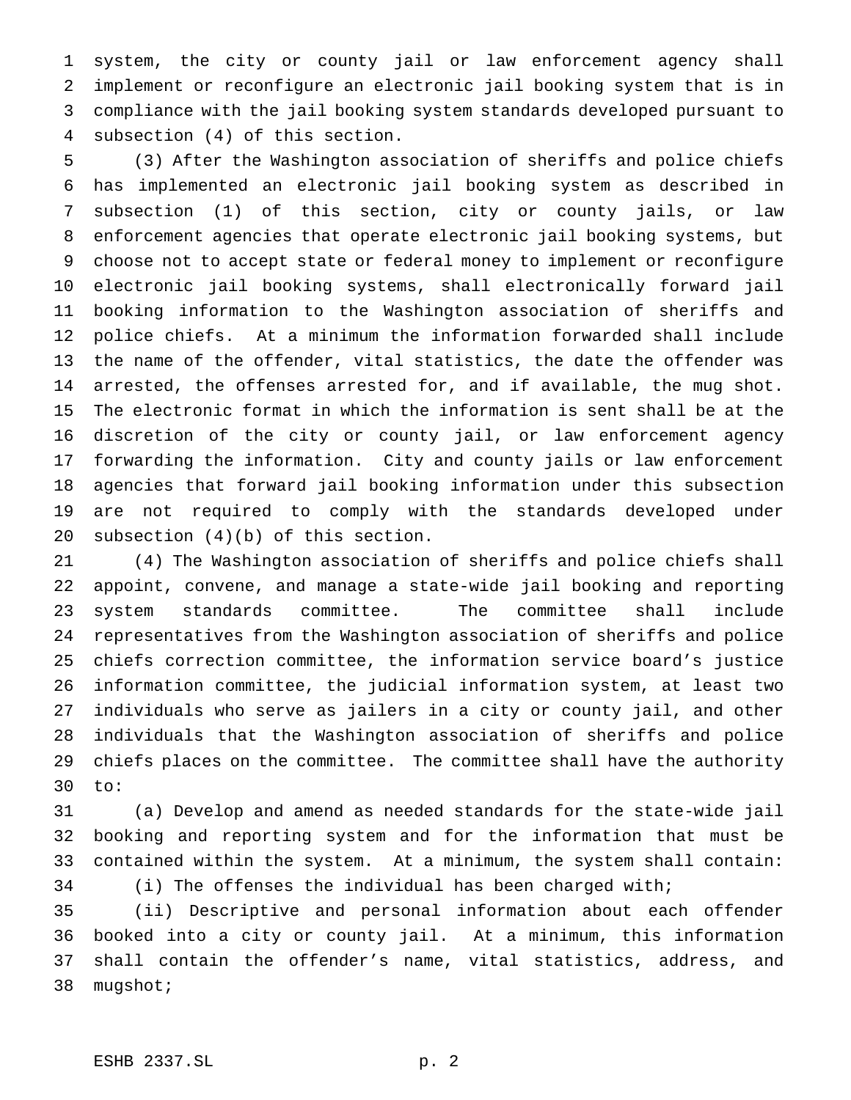system, the city or county jail or law enforcement agency shall implement or reconfigure an electronic jail booking system that is in compliance with the jail booking system standards developed pursuant to subsection (4) of this section.

 (3) After the Washington association of sheriffs and police chiefs has implemented an electronic jail booking system as described in subsection (1) of this section, city or county jails, or law enforcement agencies that operate electronic jail booking systems, but choose not to accept state or federal money to implement or reconfigure electronic jail booking systems, shall electronically forward jail booking information to the Washington association of sheriffs and police chiefs. At a minimum the information forwarded shall include the name of the offender, vital statistics, the date the offender was arrested, the offenses arrested for, and if available, the mug shot. The electronic format in which the information is sent shall be at the discretion of the city or county jail, or law enforcement agency forwarding the information. City and county jails or law enforcement agencies that forward jail booking information under this subsection are not required to comply with the standards developed under subsection (4)(b) of this section.

 (4) The Washington association of sheriffs and police chiefs shall appoint, convene, and manage a state-wide jail booking and reporting system standards committee. The committee shall include representatives from the Washington association of sheriffs and police chiefs correction committee, the information service board's justice information committee, the judicial information system, at least two individuals who serve as jailers in a city or county jail, and other individuals that the Washington association of sheriffs and police chiefs places on the committee. The committee shall have the authority to:

 (a) Develop and amend as needed standards for the state-wide jail booking and reporting system and for the information that must be contained within the system. At a minimum, the system shall contain: (i) The offenses the individual has been charged with;

 (ii) Descriptive and personal information about each offender booked into a city or county jail. At a minimum, this information shall contain the offender's name, vital statistics, address, and mugshot;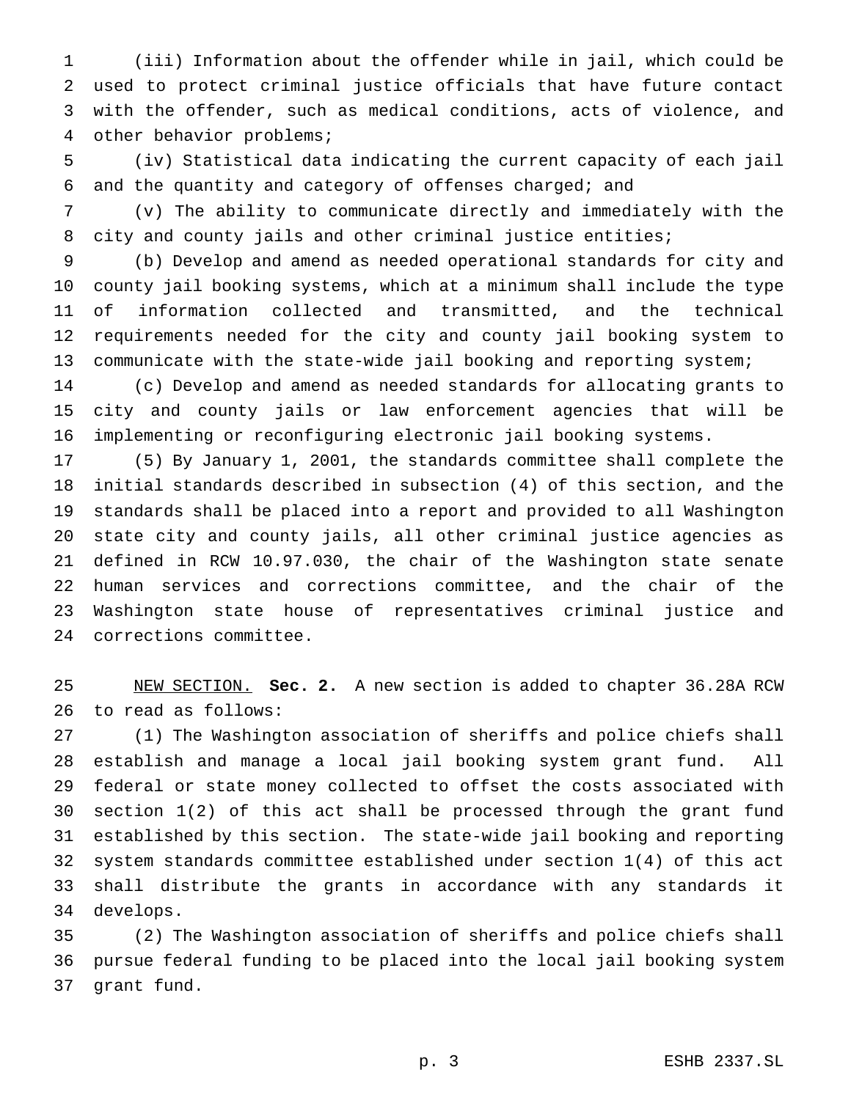(iii) Information about the offender while in jail, which could be used to protect criminal justice officials that have future contact with the offender, such as medical conditions, acts of violence, and other behavior problems;

 (iv) Statistical data indicating the current capacity of each jail and the quantity and category of offenses charged; and

 (v) The ability to communicate directly and immediately with the city and county jails and other criminal justice entities;

 (b) Develop and amend as needed operational standards for city and county jail booking systems, which at a minimum shall include the type of information collected and transmitted, and the technical requirements needed for the city and county jail booking system to communicate with the state-wide jail booking and reporting system;

 (c) Develop and amend as needed standards for allocating grants to city and county jails or law enforcement agencies that will be implementing or reconfiguring electronic jail booking systems.

 (5) By January 1, 2001, the standards committee shall complete the initial standards described in subsection (4) of this section, and the standards shall be placed into a report and provided to all Washington state city and county jails, all other criminal justice agencies as defined in RCW 10.97.030, the chair of the Washington state senate human services and corrections committee, and the chair of the Washington state house of representatives criminal justice and corrections committee.

 NEW SECTION. **Sec. 2.** A new section is added to chapter 36.28A RCW to read as follows:

 (1) The Washington association of sheriffs and police chiefs shall establish and manage a local jail booking system grant fund. All federal or state money collected to offset the costs associated with section 1(2) of this act shall be processed through the grant fund established by this section. The state-wide jail booking and reporting system standards committee established under section 1(4) of this act shall distribute the grants in accordance with any standards it develops.

 (2) The Washington association of sheriffs and police chiefs shall pursue federal funding to be placed into the local jail booking system grant fund.